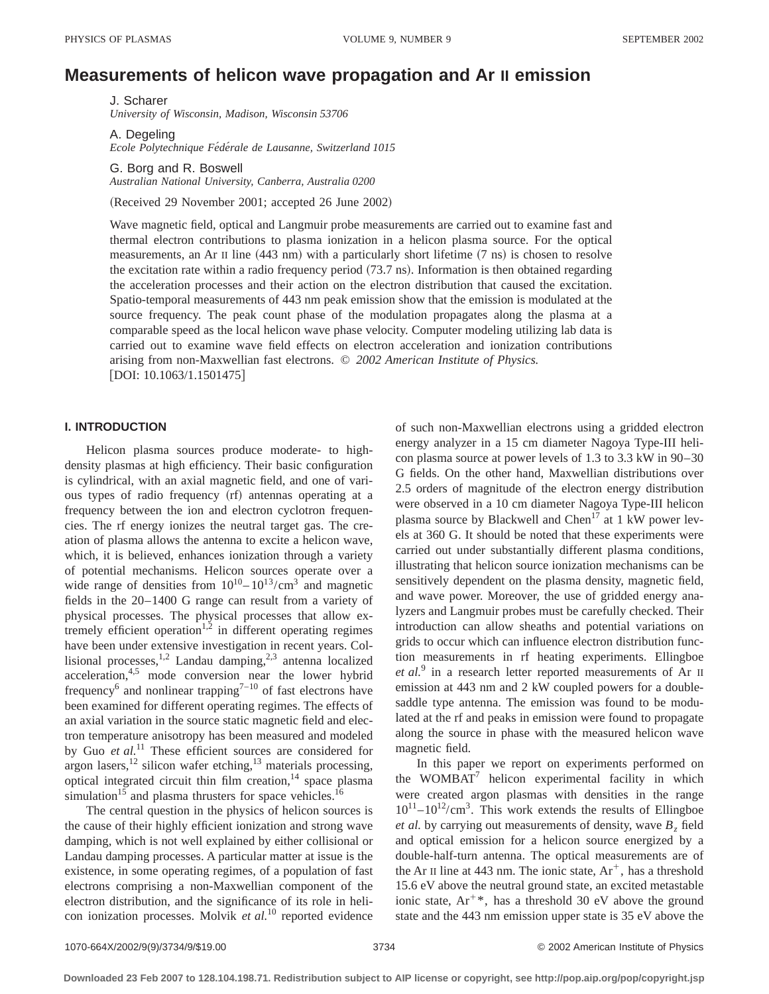# **Measurements of helicon wave propagation and Ar II emission**

J. Scharer *University of Wisconsin, Madison, Wisconsin 53706*

A. Degeling *Ecole Polytechnique Fe´de´rale de Lausanne, Switzerland 1015*

G. Borg and R. Boswell *Australian National University, Canberra, Australia 0200*

(Received 29 November 2001; accepted 26 June 2002)

Wave magnetic field, optical and Langmuir probe measurements are carried out to examine fast and thermal electron contributions to plasma ionization in a helicon plasma source. For the optical measurements, an Ar II line  $(443 \text{ nm})$  with a particularly short lifetime  $(7 \text{ ns})$  is chosen to resolve the excitation rate within a radio frequency period  $(73.7 \text{ ns})$ . Information is then obtained regarding the acceleration processes and their action on the electron distribution that caused the excitation. Spatio-temporal measurements of 443 nm peak emission show that the emission is modulated at the source frequency. The peak count phase of the modulation propagates along the plasma at a comparable speed as the local helicon wave phase velocity. Computer modeling utilizing lab data is carried out to examine wave field effects on electron acceleration and ionization contributions arising from non-Maxwellian fast electrons. © *2002 American Institute of Physics.*  $[DOI: 10.1063/1.1501475]$ 

## **I. INTRODUCTION**

Helicon plasma sources produce moderate- to highdensity plasmas at high efficiency. Their basic configuration is cylindrical, with an axial magnetic field, and one of various types of radio frequency (rf) antennas operating at a frequency between the ion and electron cyclotron frequencies. The rf energy ionizes the neutral target gas. The creation of plasma allows the antenna to excite a helicon wave, which, it is believed, enhances ionization through a variety of potential mechanisms. Helicon sources operate over a wide range of densities from  $10^{10} - 10^{13}$ /cm<sup>3</sup> and magnetic fields in the 20–1400 G range can result from a variety of physical processes. The physical processes that allow extremely efficient operation<sup>1,2</sup> in different operating regimes have been under extensive investigation in recent years. Collisional processes,  $^{1,2}$  Landau damping,  $^{2,3}$  antenna localized acceleration,<sup>4,5</sup> mode conversion near the lower hybrid frequency<sup>6</sup> and nonlinear trapping<sup>7-10</sup> of fast electrons have been examined for different operating regimes. The effects of an axial variation in the source static magnetic field and electron temperature anisotropy has been measured and modeled by Guo et al.<sup>11</sup> These efficient sources are considered for argon lasers, $^{12}$  silicon wafer etching, $^{13}$  materials processing, optical integrated circuit thin film creation, $14$  space plasma simulation<sup>15</sup> and plasma thrusters for space vehicles.<sup>16</sup>

The central question in the physics of helicon sources is the cause of their highly efficient ionization and strong wave damping, which is not well explained by either collisional or Landau damping processes. A particular matter at issue is the existence, in some operating regimes, of a population of fast electrons comprising a non-Maxwellian component of the electron distribution, and the significance of its role in helicon ionization processes. Molvik *et al.*<sup>10</sup> reported evidence

of such non-Maxwellian electrons using a gridded electron energy analyzer in a 15 cm diameter Nagoya Type-III helicon plasma source at power levels of 1.3 to 3.3 kW in 90–30 G fields. On the other hand, Maxwellian distributions over 2.5 orders of magnitude of the electron energy distribution were observed in a 10 cm diameter Nagoya Type-III helicon plasma source by Blackwell and Chen<sup>17</sup> at 1 kW power levels at 360 G. It should be noted that these experiments were carried out under substantially different plasma conditions, illustrating that helicon source ionization mechanisms can be sensitively dependent on the plasma density, magnetic field, and wave power. Moreover, the use of gridded energy analyzers and Langmuir probes must be carefully checked. Their introduction can allow sheaths and potential variations on grids to occur which can influence electron distribution function measurements in rf heating experiments. Ellingboe *et al.*<sup>9</sup> in a research letter reported measurements of Ar II emission at 443 nm and 2 kW coupled powers for a doublesaddle type antenna. The emission was found to be modulated at the rf and peaks in emission were found to propagate along the source in phase with the measured helicon wave magnetic field.

In this paper we report on experiments performed on the WOMBAT $<sup>7</sup>$  helicon experimental facility in which</sup> were created argon plasmas with densities in the range  $10^{11} - 10^{12}/\text{cm}^3$ . This work extends the results of Ellingboe *et al.* by carrying out measurements of density, wave  $B<sub>z</sub>$  field and optical emission for a helicon source energized by a double-half-turn antenna. The optical measurements are of the Ar II line at 443 nm. The ionic state,  $Ar^+$ , has a threshold 15.6 eV above the neutral ground state, an excited metastable ionic state,  $Ar^{+*}$ , has a threshold 30 eV above the ground state and the 443 nm emission upper state is 35 eV above the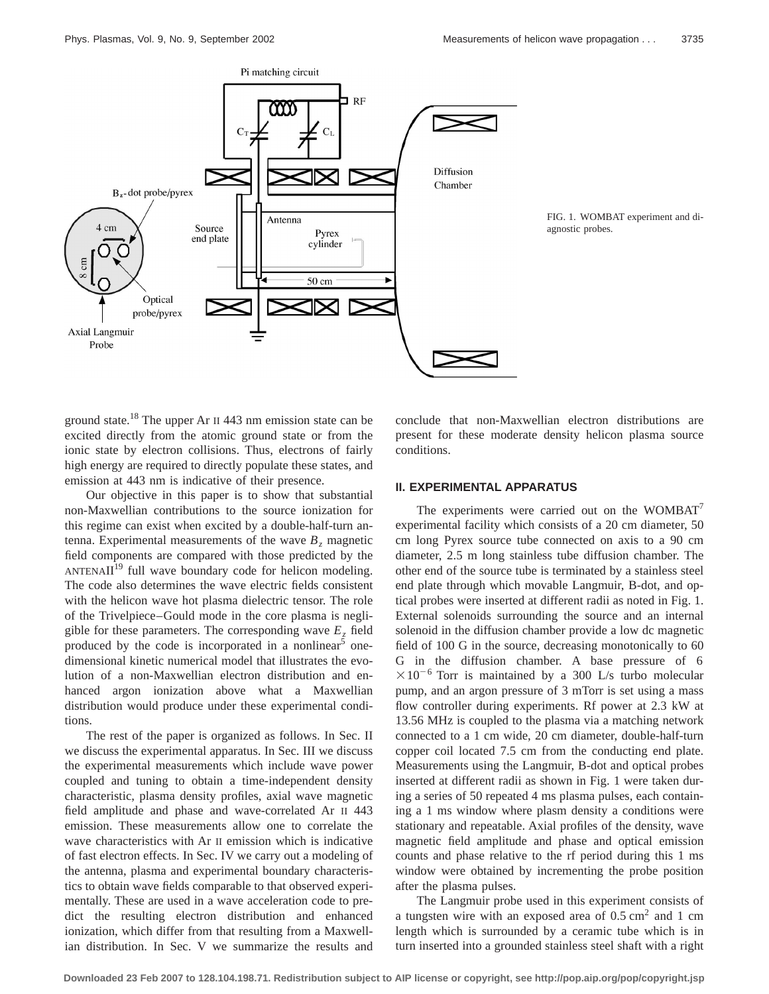

ground state.18 The upper Ar II 443 nm emission state can be excited directly from the atomic ground state or from the ionic state by electron collisions. Thus, electrons of fairly high energy are required to directly populate these states, and emission at 443 nm is indicative of their presence.

Our objective in this paper is to show that substantial non-Maxwellian contributions to the source ionization for this regime can exist when excited by a double-half-turn antenna. Experimental measurements of the wave  $B<sub>z</sub>$  magnetic field components are compared with those predicted by the  $ANTENAII<sup>19</sup>$  full wave boundary code for helicon modeling. The code also determines the wave electric fields consistent with the helicon wave hot plasma dielectric tensor. The role of the Trivelpiece–Gould mode in the core plasma is negligible for these parameters. The corresponding wave  $E<sub>z</sub>$  field produced by the code is incorporated in a nonlinear  $\delta$  onedimensional kinetic numerical model that illustrates the evolution of a non-Maxwellian electron distribution and enhanced argon ionization above what a Maxwellian distribution would produce under these experimental conditions.

The rest of the paper is organized as follows. In Sec. II we discuss the experimental apparatus. In Sec. III we discuss the experimental measurements which include wave power coupled and tuning to obtain a time-independent density characteristic, plasma density profiles, axial wave magnetic field amplitude and phase and wave-correlated Ar II 443 emission. These measurements allow one to correlate the wave characteristics with Ar II emission which is indicative of fast electron effects. In Sec. IV we carry out a modeling of the antenna, plasma and experimental boundary characteristics to obtain wave fields comparable to that observed experimentally. These are used in a wave acceleration code to predict the resulting electron distribution and enhanced ionization, which differ from that resulting from a Maxwellian distribution. In Sec. V we summarize the results and conclude that non-Maxwellian electron distributions are present for these moderate density helicon plasma source conditions.

## **II. EXPERIMENTAL APPARATUS**

The experiments were carried out on the WOMBAT<sup>7</sup> experimental facility which consists of a 20 cm diameter, 50 cm long Pyrex source tube connected on axis to a 90 cm diameter, 2.5 m long stainless tube diffusion chamber. The other end of the source tube is terminated by a stainless steel end plate through which movable Langmuir, B-dot, and optical probes were inserted at different radii as noted in Fig. 1. External solenoids surrounding the source and an internal solenoid in the diffusion chamber provide a low dc magnetic field of 100 G in the source, decreasing monotonically to 60 G in the diffusion chamber. A base pressure of 6  $\times 10^{-6}$  Torr is maintained by a 300 L/s turbo molecular pump, and an argon pressure of 3 mTorr is set using a mass flow controller during experiments. Rf power at 2.3 kW at 13.56 MHz is coupled to the plasma via a matching network connected to a 1 cm wide, 20 cm diameter, double-half-turn copper coil located 7.5 cm from the conducting end plate. Measurements using the Langmuir, B-dot and optical probes inserted at different radii as shown in Fig. 1 were taken during a series of 50 repeated 4 ms plasma pulses, each containing a 1 ms window where plasm density a conditions were stationary and repeatable. Axial profiles of the density, wave magnetic field amplitude and phase and optical emission counts and phase relative to the rf period during this 1 ms window were obtained by incrementing the probe position after the plasma pulses.

The Langmuir probe used in this experiment consists of a tungsten wire with an exposed area of  $0.5 \text{ cm}^2$  and 1 cm length which is surrounded by a ceramic tube which is in turn inserted into a grounded stainless steel shaft with a right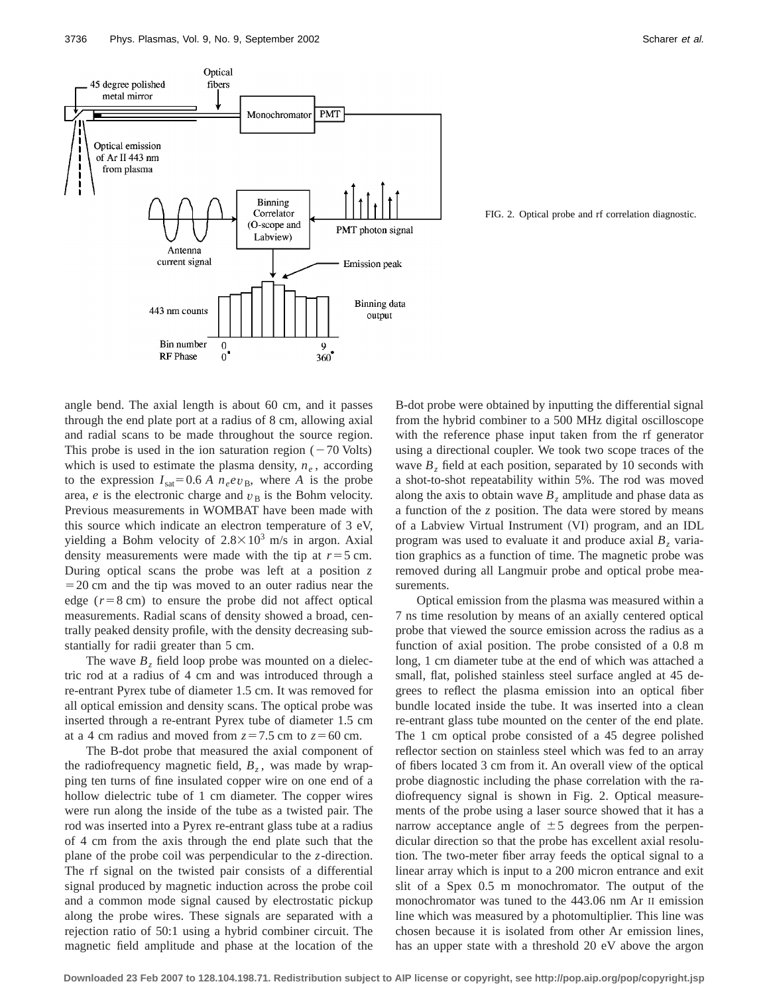

FIG. 2. Optical probe and rf correlation diagnostic.

angle bend. The axial length is about 60 cm, and it passes through the end plate port at a radius of 8 cm, allowing axial and radial scans to be made throughout the source region. This probe is used in the ion saturation region  $(-70 \text{ Volts})$ which is used to estimate the plasma density,  $n_e$ , according to the expression  $I_{\text{sat}}=0.6 A n_e e v_B$ , where *A* is the probe area,  $e$  is the electronic charge and  $v<sub>B</sub>$  is the Bohm velocity. Previous measurements in WOMBAT have been made with this source which indicate an electron temperature of 3 eV, yielding a Bohm velocity of  $2.8 \times 10^3$  m/s in argon. Axial density measurements were made with the tip at  $r=5$  cm. During optical scans the probe was left at a position *z*  $=$  20 cm and the tip was moved to an outer radius near the edge  $(r=8 \text{ cm})$  to ensure the probe did not affect optical measurements. Radial scans of density showed a broad, centrally peaked density profile, with the density decreasing substantially for radii greater than 5 cm.

The wave  $B_z$  field loop probe was mounted on a dielectric rod at a radius of 4 cm and was introduced through a re-entrant Pyrex tube of diameter 1.5 cm. It was removed for all optical emission and density scans. The optical probe was inserted through a re-entrant Pyrex tube of diameter 1.5 cm at a 4 cm radius and moved from  $z=7.5$  cm to  $z=60$  cm.

The B-dot probe that measured the axial component of the radiofrequency magnetic field,  $B_z$ , was made by wrapping ten turns of fine insulated copper wire on one end of a hollow dielectric tube of 1 cm diameter. The copper wires were run along the inside of the tube as a twisted pair. The rod was inserted into a Pyrex re-entrant glass tube at a radius of 4 cm from the axis through the end plate such that the plane of the probe coil was perpendicular to the *z*-direction. The rf signal on the twisted pair consists of a differential signal produced by magnetic induction across the probe coil and a common mode signal caused by electrostatic pickup along the probe wires. These signals are separated with a rejection ratio of 50:1 using a hybrid combiner circuit. The magnetic field amplitude and phase at the location of the B-dot probe were obtained by inputting the differential signal from the hybrid combiner to a 500 MHz digital oscilloscope with the reference phase input taken from the rf generator using a directional coupler. We took two scope traces of the wave  $B<sub>z</sub>$  field at each position, separated by 10 seconds with a shot-to-shot repeatability within 5%. The rod was moved along the axis to obtain wave  $B<sub>z</sub>$  amplitude and phase data as a function of the *z* position. The data were stored by means of a Labview Virtual Instrument (VI) program, and an IDL program was used to evaluate it and produce axial  $B<sub>z</sub>$  variation graphics as a function of time. The magnetic probe was removed during all Langmuir probe and optical probe measurements.

Optical emission from the plasma was measured within a 7 ns time resolution by means of an axially centered optical probe that viewed the source emission across the radius as a function of axial position. The probe consisted of a 0.8 m long, 1 cm diameter tube at the end of which was attached a small, flat, polished stainless steel surface angled at 45 degrees to reflect the plasma emission into an optical fiber bundle located inside the tube. It was inserted into a clean re-entrant glass tube mounted on the center of the end plate. The 1 cm optical probe consisted of a 45 degree polished reflector section on stainless steel which was fed to an array of fibers located 3 cm from it. An overall view of the optical probe diagnostic including the phase correlation with the radiofrequency signal is shown in Fig. 2. Optical measurements of the probe using a laser source showed that it has a narrow acceptance angle of  $\pm 5$  degrees from the perpendicular direction so that the probe has excellent axial resolution. The two-meter fiber array feeds the optical signal to a linear array which is input to a 200 micron entrance and exit slit of a Spex 0.5 m monochromator. The output of the monochromator was tuned to the 443.06 nm Ar II emission line which was measured by a photomultiplier. This line was chosen because it is isolated from other Ar emission lines, has an upper state with a threshold 20 eV above the argon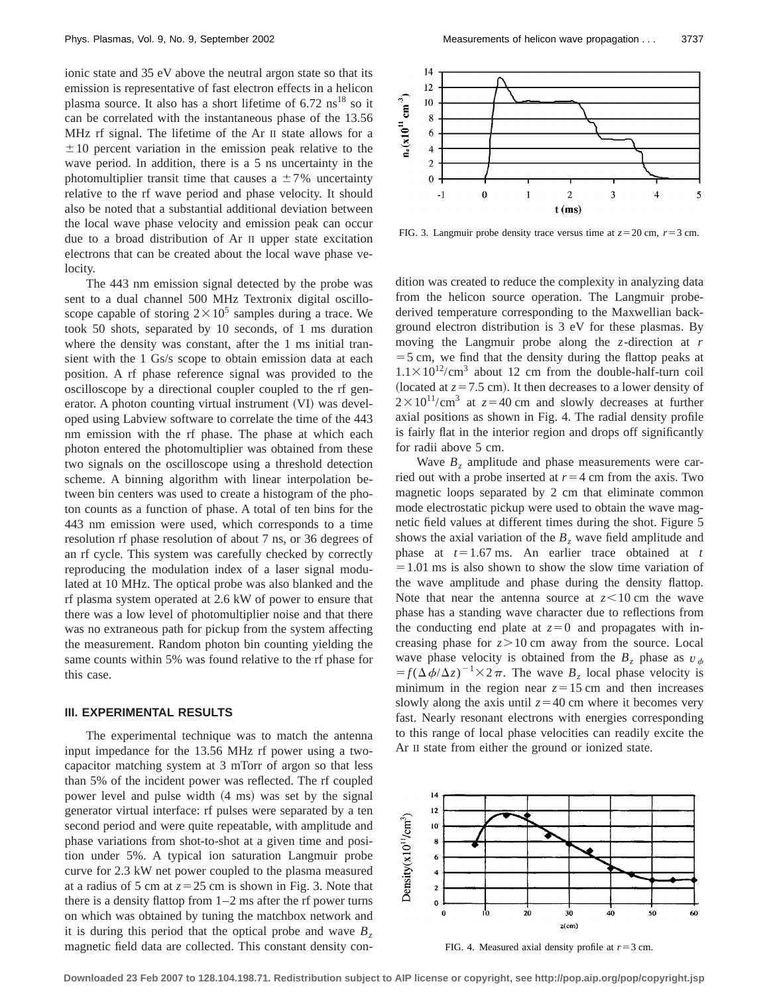ionic state and 35 eV above the neutral argon state so that its emission is representative of fast electron effects in a helicon plasma source. It also has a short lifetime of  $6.72 \text{ ns}^{18}$  so it can be correlated with the instantaneous phase of the 13.56 MHz rf signal. The lifetime of the Ar II state allows for a  $\pm 10$  percent variation in the emission peak relative to the wave period. In addition, there is a 5 ns uncertainty in the photomultiplier transit time that causes a  $\pm 7$ % uncertainty relative to the rf wave period and phase velocity. It should also be noted that a substantial additional deviation between the local wave phase velocity and emission peak can occur due to a broad distribution of Ar II upper state excitation electrons that can be created about the local wave phase velocity.

The 443 nm emission signal detected by the probe was sent to a dual channel 500 MHz Textronix digital oscilloscope capable of storing  $2 \times 10^5$  samples during a trace. We took 50 shots, separated by 10 seconds, of 1 ms duration where the density was constant, after the 1 ms initial transient with the 1 Gs/s scope to obtain emission data at each position. A rf phase reference signal was provided to the oscilloscope by a directional coupler coupled to the rf generator. A photon counting virtual instrument  $(VI)$  was developed using Labview software to correlate the time of the 443 nm emission with the rf phase. The phase at which each photon entered the photomultiplier was obtained from these two signals on the oscilloscope using a threshold detection scheme. A binning algorithm with linear interpolation between bin centers was used to create a histogram of the photon counts as a function of phase. A total of ten bins for the 443 nm emission were used, which corresponds to a time resolution rf phase resolution of about 7 ns, or 36 degrees of an rf cycle. This system was carefully checked by correctly reproducing the modulation index of a laser signal modulated at 10 MHz. The optical probe was also blanked and the rf plasma system operated at 2.6 kW of power to ensure that there was a low level of photomultiplier noise and that there was no extraneous path for pickup from the system affecting the measurement. Random photon bin counting yielding the same counts within 5% was found relative to the rf phase for this case.

## **III. EXPERIMENTAL RESULTS**

The experimental technique was to match the antenna input impedance for the 13.56 MHz rf power using a twocapacitor matching system at 3 mTorr of argon so that less than 5% of the incident power was reflected. The rf coupled power level and pulse width (4 ms) was set by the signal generator virtual interface: rf pulses were separated by a ten second period and were quite repeatable, with amplitude and phase variations from shot-to-shot at a given time and position under 5%. A typical ion saturation Langmuir probe curve for 2.3 kW net power coupled to the plasma measured at a radius of 5 cm at  $z=25$  cm is shown in Fig. 3. Note that there is a density flattop from  $1-2$  ms after the rf power turns on which was obtained by tuning the matchbox network and it is during this period that the optical probe and wave  $B_7$ magnetic field data are collected. This constant density con-



FIG. 3. Langmuir probe density trace versus time at  $z = 20$  cm,  $r = 3$  cm.

dition was created to reduce the complexity in analyzing data from the helicon source operation. The Langmuir probederived temperature corresponding to the Maxwellian background electron distribution is 3 eV for these plasmas. By moving the Langmuir probe along the *z*-direction at *r*  $=$  5 cm, we find that the density during the flattop peaks at  $1.1 \times 10^{12}$ /cm<sup>3</sup> about 12 cm from the double-half-turn coil (located at  $z = 7.5$  cm). It then decreases to a lower density of  $2 \times 10^{11}$ /cm<sup>3</sup> at  $z=40$  cm and slowly decreases at further axial positions as shown in Fig. 4. The radial density profile is fairly flat in the interior region and drops off significantly for radii above 5 cm.

Wave  $B_z$  amplitude and phase measurements were carried out with a probe inserted at  $r=4$  cm from the axis. Two magnetic loops separated by 2 cm that eliminate common mode electrostatic pickup were used to obtain the wave magnetic field values at different times during the shot. Figure 5 shows the axial variation of the  $B_z$  wave field amplitude and phase at  $t=1.67$  ms. An earlier trace obtained at  $t = t$  $=1.01$  ms is also shown to show the slow time variation of the wave amplitude and phase during the density flattop. Note that near the antenna source at  $z$  < 10 cm the wave phase has a standing wave character due to reflections from the conducting end plate at  $z=0$  and propagates with increasing phase for  $z > 10$  cm away from the source. Local wave phase velocity is obtained from the  $B_7$  phase as  $v<sub>d</sub>$  $f(f(\Delta \phi/\Delta z))^{-1} \times 2\pi$ . The wave  $B_z$  local phase velocity is minimum in the region near  $z=15$  cm and then increases slowly along the axis until  $z=40$  cm where it becomes very fast. Nearly resonant electrons with energies corresponding to this range of local phase velocities can readily excite the Ar II state from either the ground or ionized state.



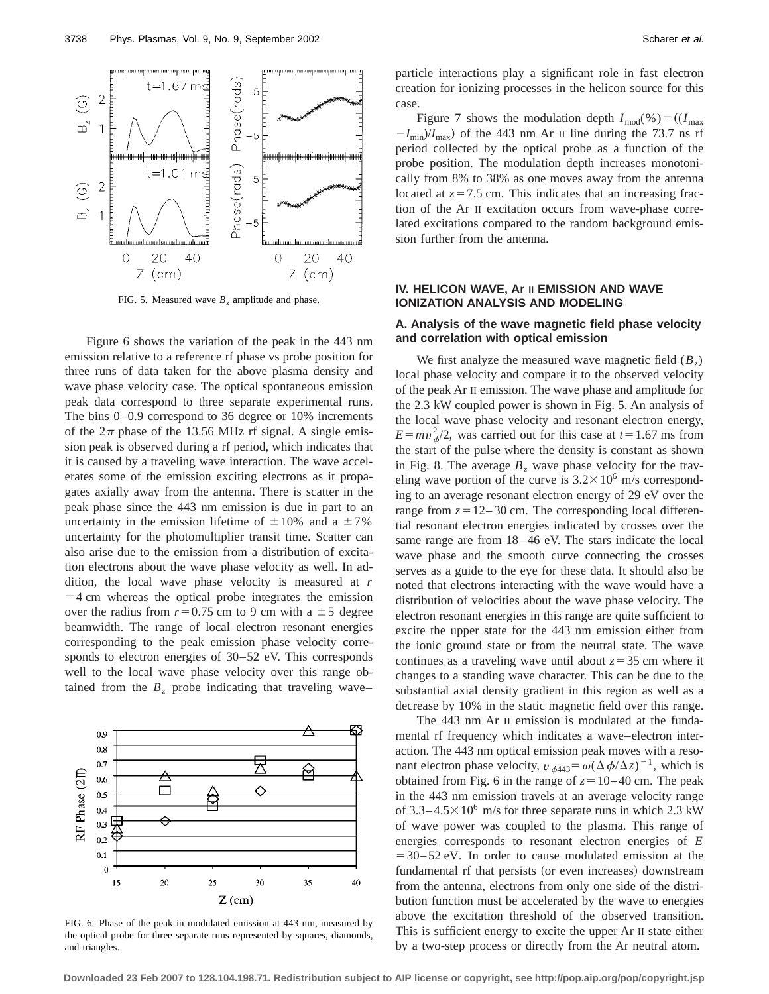

FIG. 5. Measured wave  $B<sub>z</sub>$  amplitude and phase.

Figure 6 shows the variation of the peak in the 443 nm emission relative to a reference rf phase vs probe position for three runs of data taken for the above plasma density and wave phase velocity case. The optical spontaneous emission peak data correspond to three separate experimental runs. The bins 0–0.9 correspond to 36 degree or 10% increments of the  $2\pi$  phase of the 13.56 MHz rf signal. A single emission peak is observed during a rf period, which indicates that it is caused by a traveling wave interaction. The wave accelerates some of the emission exciting electrons as it propagates axially away from the antenna. There is scatter in the peak phase since the 443 nm emission is due in part to an uncertainty in the emission lifetime of  $\pm 10\%$  and a  $\pm 7\%$ uncertainty for the photomultiplier transit time. Scatter can also arise due to the emission from a distribution of excitation electrons about the wave phase velocity as well. In addition, the local wave phase velocity is measured at *r*  $=4$  cm whereas the optical probe integrates the emission over the radius from  $r=0.75$  cm to 9 cm with a  $\pm 5$  degree beamwidth. The range of local electron resonant energies corresponding to the peak emission phase velocity corresponds to electron energies of 30–52 eV. This corresponds well to the local wave phase velocity over this range obtained from the  $B<sub>z</sub>$  probe indicating that traveling wave–



FIG. 6. Phase of the peak in modulated emission at 443 nm, measured by the optical probe for three separate runs represented by squares, diamonds, and triangles.

particle interactions play a significant role in fast electron creation for ionizing processes in the helicon source for this case.

Figure 7 shows the modulation depth  $I_{\text{mod}}(\%)=(I_{\text{max}})$  $-I_{\text{min}}/I_{\text{max}}$  of the 443 nm Ar II line during the 73.7 ns rf period collected by the optical probe as a function of the probe position. The modulation depth increases monotonically from 8% to 38% as one moves away from the antenna located at  $z=7.5$  cm. This indicates that an increasing fraction of the Ar II excitation occurs from wave-phase correlated excitations compared to the random background emission further from the antenna.

# **IV. HELICON WAVE, Ar II EMISSION AND WAVE IONIZATION ANALYSIS AND MODELING**

# **A. Analysis of the wave magnetic field phase velocity and correlation with optical emission**

We first analyze the measured wave magnetic field  $(B<sub>z</sub>)$ local phase velocity and compare it to the observed velocity of the peak Ar II emission. The wave phase and amplitude for the 2.3 kW coupled power is shown in Fig. 5. An analysis of the local wave phase velocity and resonant electron energy,  $E = mv_{\phi}^2/2$ , was carried out for this case at  $t = 1.67$  ms from the start of the pulse where the density is constant as shown in Fig. 8. The average  $B<sub>z</sub>$  wave phase velocity for the traveling wave portion of the curve is  $3.2 \times 10^6$  m/s corresponding to an average resonant electron energy of 29 eV over the range from  $z=12-30$  cm. The corresponding local differential resonant electron energies indicated by crosses over the same range are from 18–46 eV. The stars indicate the local wave phase and the smooth curve connecting the crosses serves as a guide to the eye for these data. It should also be noted that electrons interacting with the wave would have a distribution of velocities about the wave phase velocity. The electron resonant energies in this range are quite sufficient to excite the upper state for the 443 nm emission either from the ionic ground state or from the neutral state. The wave continues as a traveling wave until about  $z = 35$  cm where it changes to a standing wave character. This can be due to the substantial axial density gradient in this region as well as a decrease by 10% in the static magnetic field over this range.

The 443 nm Ar II emission is modulated at the fundamental rf frequency which indicates a wave–electron interaction. The 443 nm optical emission peak moves with a resonant electron phase velocity,  $v_{\phi 443} = \omega (\Delta \phi / \Delta z)^{-1}$ , which is obtained from Fig. 6 in the range of  $z=10-40$  cm. The peak in the 443 nm emission travels at an average velocity range of  $3.3-4.5\times10^{6}$  m/s for three separate runs in which 2.3 kW of wave power was coupled to the plasma. This range of energies corresponds to resonant electron energies of *E*  $=$  30–52 eV. In order to cause modulated emission at the fundamental rf that persists (or even increases) downstream from the antenna, electrons from only one side of the distribution function must be accelerated by the wave to energies above the excitation threshold of the observed transition. This is sufficient energy to excite the upper Ar II state either by a two-step process or directly from the Ar neutral atom.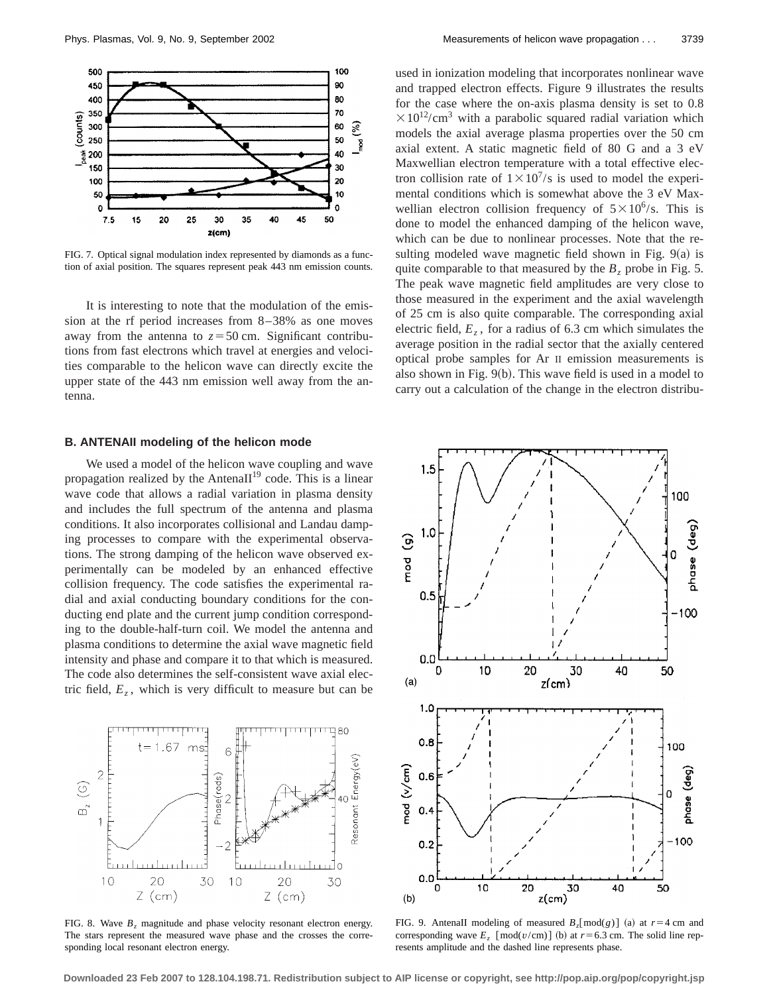

FIG. 7. Optical signal modulation index represented by diamonds as a function of axial position. The squares represent peak 443 nm emission counts.

It is interesting to note that the modulation of the emission at the rf period increases from 8–38% as one moves away from the antenna to  $z = 50$  cm. Significant contributions from fast electrons which travel at energies and velocities comparable to the helicon wave can directly excite the upper state of the 443 nm emission well away from the antenna.

# **B. ANTENAII modeling of the helicon mode**

We used a model of the helicon wave coupling and wave propagation realized by the AntenaII $19$  code. This is a linear wave code that allows a radial variation in plasma density and includes the full spectrum of the antenna and plasma conditions. It also incorporates collisional and Landau damping processes to compare with the experimental observations. The strong damping of the helicon wave observed experimentally can be modeled by an enhanced effective collision frequency. The code satisfies the experimental radial and axial conducting boundary conditions for the conducting end plate and the current jump condition corresponding to the double-half-turn coil. We model the antenna and plasma conditions to determine the axial wave magnetic field intensity and phase and compare it to that which is measured. The code also determines the self-consistent wave axial electric field,  $E_z$ , which is very difficult to measure but can be



FIG. 8. Wave  $B_z$  magnitude and phase velocity resonant electron energy. The stars represent the measured wave phase and the crosses the corresponding local resonant electron energy.

used in ionization modeling that incorporates nonlinear wave and trapped electron effects. Figure 9 illustrates the results for the case where the on-axis plasma density is set to 0.8  $\times 10^{12}/\text{cm}^3$  with a parabolic squared radial variation which models the axial average plasma properties over the 50 cm axial extent. A static magnetic field of 80 G and a 3 eV Maxwellian electron temperature with a total effective electron collision rate of  $1\times10^{7}/s$  is used to model the experimental conditions which is somewhat above the 3 eV Maxwellian electron collision frequency of  $5 \times 10^6$ /s. This is done to model the enhanced damping of the helicon wave, which can be due to nonlinear processes. Note that the resulting modeled wave magnetic field shown in Fig.  $9(a)$  is quite comparable to that measured by the  $B_z$  probe in Fig. 5. The peak wave magnetic field amplitudes are very close to those measured in the experiment and the axial wavelength of 25 cm is also quite comparable. The corresponding axial electric field,  $E_z$ , for a radius of 6.3 cm which simulates the average position in the radial sector that the axially centered optical probe samples for Ar II emission measurements is also shown in Fig.  $9(b)$ . This wave field is used in a model to carry out a calculation of the change in the electron distribu-



FIG. 9. Antenall modeling of measured  $B_z$ [mod(*g*)] (a) at  $r=4$  cm and corresponding wave  $E_z$  [mod( $v/cm$ )] (b) at  $r=6.3$  cm. The solid line represents amplitude and the dashed line represents phase.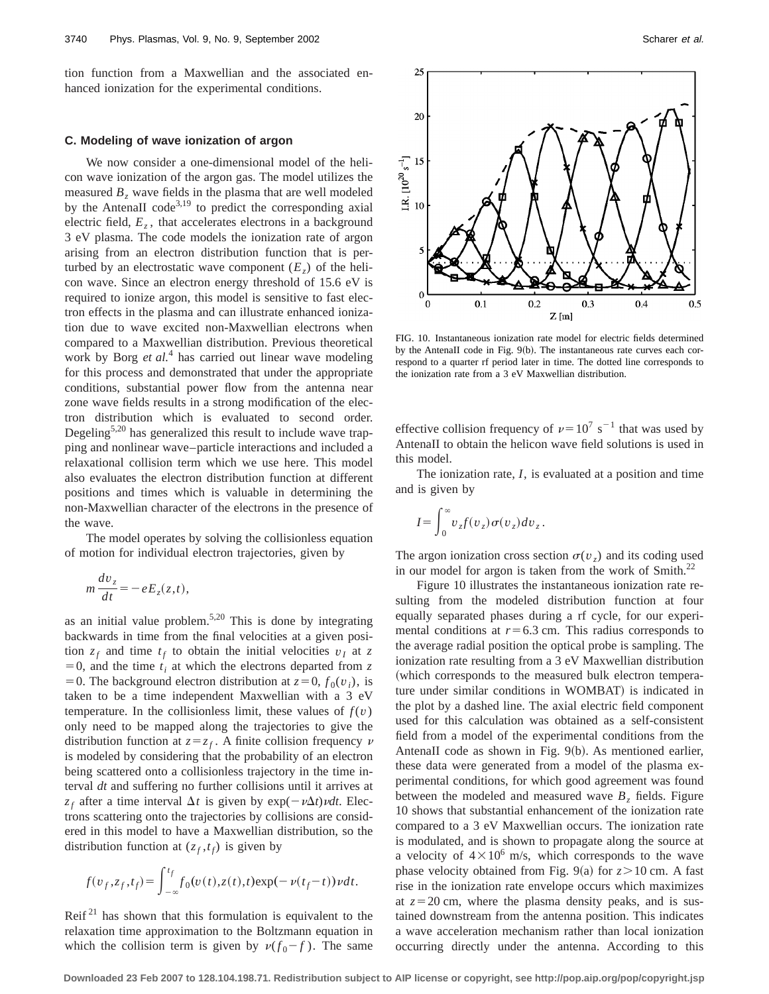tion function from a Maxwellian and the associated enhanced ionization for the experimental conditions.

## **C. Modeling of wave ionization of argon**

We now consider a one-dimensional model of the helicon wave ionization of the argon gas. The model utilizes the measured  $B<sub>z</sub>$  wave fields in the plasma that are well modeled by the AntenaII code $3,19$  to predict the corresponding axial electric field,  $E<sub>z</sub>$ , that accelerates electrons in a background 3 eV plasma. The code models the ionization rate of argon arising from an electron distribution function that is perturbed by an electrostatic wave component  $(E_z)$  of the helicon wave. Since an electron energy threshold of 15.6 eV is required to ionize argon, this model is sensitive to fast electron effects in the plasma and can illustrate enhanced ionization due to wave excited non-Maxwellian electrons when compared to a Maxwellian distribution. Previous theoretical work by Borg *et al.*<sup>4</sup> has carried out linear wave modeling for this process and demonstrated that under the appropriate conditions, substantial power flow from the antenna near zone wave fields results in a strong modification of the electron distribution which is evaluated to second order. Degeling<sup>5,20</sup> has generalized this result to include wave trapping and nonlinear wave–particle interactions and included a relaxational collision term which we use here. This model also evaluates the electron distribution function at different positions and times which is valuable in determining the non-Maxwellian character of the electrons in the presence of the wave.

The model operates by solving the collisionless equation of motion for individual electron trajectories, given by

$$
m\frac{dv_z}{dt} = -eE_z(z,t),
$$

as an initial value problem. $5,20$  This is done by integrating backwards in time from the final velocities at a given position  $z_f$  and time  $t_f$  to obtain the initial velocities  $v_I$  at z  $=0$ , and the time  $t_i$  at which the electrons departed from  $\zeta$ = 0. The background electron distribution at  $z=0, f_0(v_i)$ , is taken to be a time independent Maxwellian with a 3 eV temperature. In the collisionless limit, these values of  $f(v)$ only need to be mapped along the trajectories to give the distribution function at  $z = z_f$ . A finite collision frequency  $\nu$ is modeled by considering that the probability of an electron being scattered onto a collisionless trajectory in the time interval *dt* and suffering no further collisions until it arrives at  $z_f$  after a time interval  $\Delta t$  is given by  $\exp(-\nu \Delta t) \nu dt$ . Electrons scattering onto the trajectories by collisions are considered in this model to have a Maxwellian distribution, so the distribution function at  $(z_f, t_f)$  is given by

$$
f(v_f, z_f, t_f) = \int_{-\infty}^{t_f} f_0(v(t), z(t), t) \exp(-v(t_f - t)) v dt.
$$

Reif<sup>21</sup> has shown that this formulation is equivalent to the relaxation time approximation to the Boltzmann equation in which the collision term is given by  $\nu(f_0-f)$ . The same



FIG. 10. Instantaneous ionization rate model for electric fields determined by the AntenaII code in Fig.  $9(b)$ . The instantaneous rate curves each correspond to a quarter rf period later in time. The dotted line corresponds to the ionization rate from a 3 eV Maxwellian distribution.

effective collision frequency of  $\nu=10^7 \text{ s}^{-1}$  that was used by AntenaII to obtain the helicon wave field solutions is used in this model.

The ionization rate, *I*, is evaluated at a position and time and is given by

$$
I = \int_0^\infty v_z f(v_z) \sigma(v_z) dv_z.
$$

The argon ionization cross section  $\sigma(v_7)$  and its coding used in our model for argon is taken from the work of Smith. $^{22}$ 

Figure 10 illustrates the instantaneous ionization rate resulting from the modeled distribution function at four equally separated phases during a rf cycle, for our experimental conditions at  $r=6.3$  cm. This radius corresponds to the average radial position the optical probe is sampling. The ionization rate resulting from a 3 eV Maxwellian distribution (which corresponds to the measured bulk electron temperature under similar conditions in WOMBAT) is indicated in the plot by a dashed line. The axial electric field component used for this calculation was obtained as a self-consistent field from a model of the experimental conditions from the AntenaII code as shown in Fig.  $9(b)$ . As mentioned earlier, these data were generated from a model of the plasma experimental conditions, for which good agreement was found between the modeled and measured wave  $B<sub>z</sub>$  fields. Figure 10 shows that substantial enhancement of the ionization rate compared to a 3 eV Maxwellian occurs. The ionization rate is modulated, and is shown to propagate along the source at a velocity of  $4\times10^6$  m/s, which corresponds to the wave phase velocity obtained from Fig. 9(a) for  $z > 10$  cm. A fast rise in the ionization rate envelope occurs which maximizes at  $z=20$  cm, where the plasma density peaks, and is sustained downstream from the antenna position. This indicates a wave acceleration mechanism rather than local ionization occurring directly under the antenna. According to this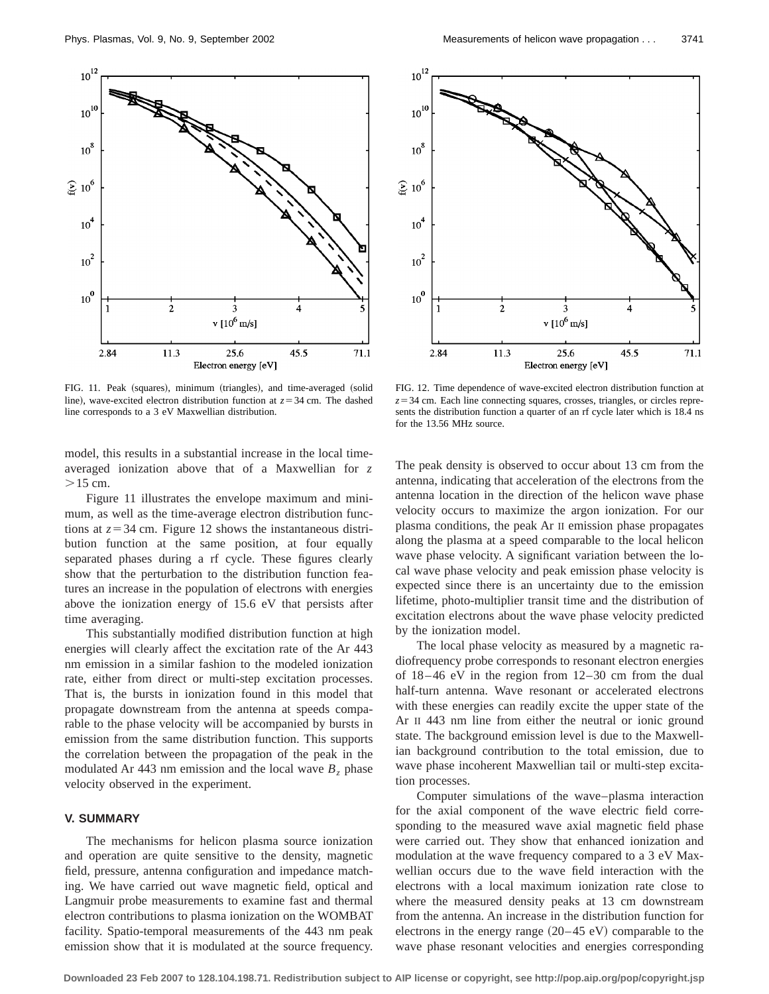

FIG. 11. Peak (squares), minimum (triangles), and time-averaged (solid line), wave-excited electron distribution function at  $z = 34$  cm. The dashed line corresponds to a 3 eV Maxwellian distribution.

model, this results in a substantial increase in the local timeaveraged ionization above that of a Maxwellian for *z*  $>15$  cm.

Figure 11 illustrates the envelope maximum and minimum, as well as the time-average electron distribution functions at  $z=34$  cm. Figure 12 shows the instantaneous distribution function at the same position, at four equally separated phases during a rf cycle. These figures clearly show that the perturbation to the distribution function features an increase in the population of electrons with energies above the ionization energy of 15.6 eV that persists after time averaging.

This substantially modified distribution function at high energies will clearly affect the excitation rate of the Ar 443 nm emission in a similar fashion to the modeled ionization rate, either from direct or multi-step excitation processes. That is, the bursts in ionization found in this model that propagate downstream from the antenna at speeds comparable to the phase velocity will be accompanied by bursts in emission from the same distribution function. This supports the correlation between the propagation of the peak in the modulated Ar 443 nm emission and the local wave  $B<sub>z</sub>$  phase velocity observed in the experiment.

# **V. SUMMARY**

The mechanisms for helicon plasma source ionization and operation are quite sensitive to the density, magnetic field, pressure, antenna configuration and impedance matching. We have carried out wave magnetic field, optical and Langmuir probe measurements to examine fast and thermal electron contributions to plasma ionization on the WOMBAT facility. Spatio-temporal measurements of the 443 nm peak emission show that it is modulated at the source frequency.



FIG. 12. Time dependence of wave-excited electron distribution function at  $z=34$  cm. Each line connecting squares, crosses, triangles, or circles represents the distribution function a quarter of an rf cycle later which is 18.4 ns for the 13.56 MHz source.

The peak density is observed to occur about 13 cm from the antenna, indicating that acceleration of the electrons from the antenna location in the direction of the helicon wave phase velocity occurs to maximize the argon ionization. For our plasma conditions, the peak Ar II emission phase propagates along the plasma at a speed comparable to the local helicon wave phase velocity. A significant variation between the local wave phase velocity and peak emission phase velocity is expected since there is an uncertainty due to the emission lifetime, photo-multiplier transit time and the distribution of excitation electrons about the wave phase velocity predicted by the ionization model.

The local phase velocity as measured by a magnetic radiofrequency probe corresponds to resonant electron energies of 18–46 eV in the region from 12–30 cm from the dual half-turn antenna. Wave resonant or accelerated electrons with these energies can readily excite the upper state of the Ar II 443 nm line from either the neutral or ionic ground state. The background emission level is due to the Maxwellian background contribution to the total emission, due to wave phase incoherent Maxwellian tail or multi-step excitation processes.

Computer simulations of the wave–plasma interaction for the axial component of the wave electric field corresponding to the measured wave axial magnetic field phase were carried out. They show that enhanced ionization and modulation at the wave frequency compared to a 3 eV Maxwellian occurs due to the wave field interaction with the electrons with a local maximum ionization rate close to where the measured density peaks at 13 cm downstream from the antenna. An increase in the distribution function for electrons in the energy range  $(20-45 \text{ eV})$  comparable to the wave phase resonant velocities and energies corresponding